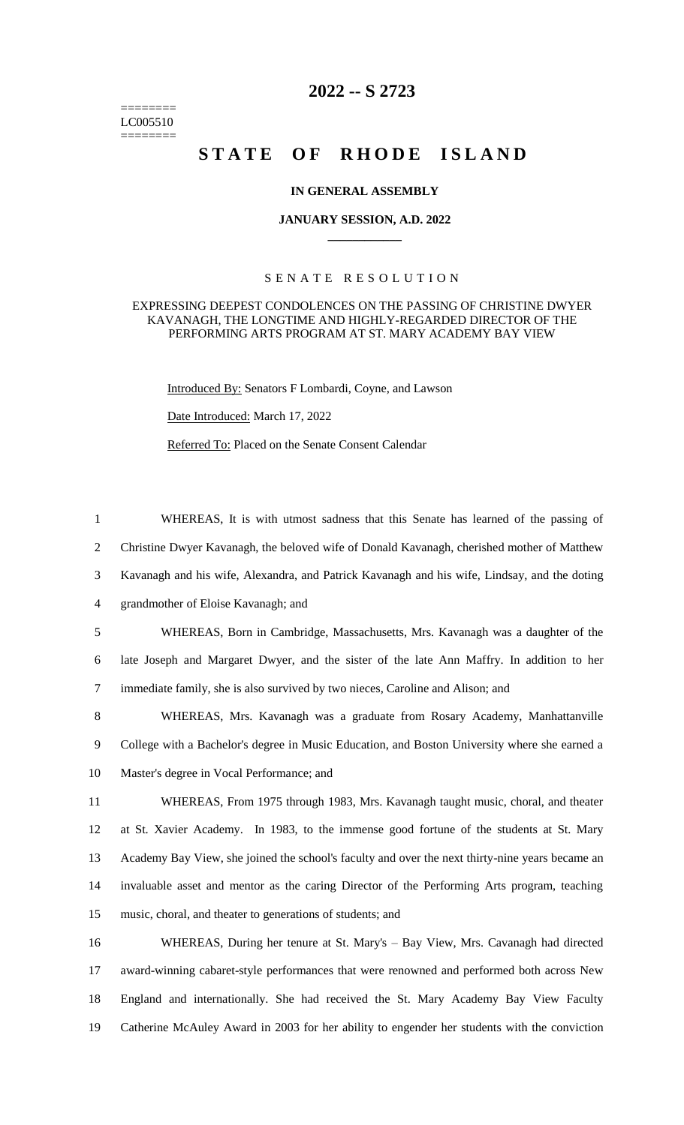======== LC005510 ========

## **2022 -- S 2723**

# STATE OF RHODE ISLAND

#### **IN GENERAL ASSEMBLY**

#### **JANUARY SESSION, A.D. 2022 \_\_\_\_\_\_\_\_\_\_\_\_**

### S E N A T E R E S O L U T I O N

#### EXPRESSING DEEPEST CONDOLENCES ON THE PASSING OF CHRISTINE DWYER KAVANAGH, THE LONGTIME AND HIGHLY-REGARDED DIRECTOR OF THE PERFORMING ARTS PROGRAM AT ST. MARY ACADEMY BAY VIEW

1 WHEREAS, It is with utmost sadness that this Senate has learned of the passing of

2 Christine Dwyer Kavanagh, the beloved wife of Donald Kavanagh, cherished mother of Matthew

Introduced By: Senators F Lombardi, Coyne, and Lawson

Date Introduced: March 17, 2022

Referred To: Placed on the Senate Consent Calendar

 Kavanagh and his wife, Alexandra, and Patrick Kavanagh and his wife, Lindsay, and the doting grandmother of Eloise Kavanagh; and WHEREAS, Born in Cambridge, Massachusetts, Mrs. Kavanagh was a daughter of the late Joseph and Margaret Dwyer, and the sister of the late Ann Maffry. In addition to her immediate family, she is also survived by two nieces, Caroline and Alison; and WHEREAS, Mrs. Kavanagh was a graduate from Rosary Academy, Manhattanville College with a Bachelor's degree in Music Education, and Boston University where she earned a Master's degree in Vocal Performance; and WHEREAS, From 1975 through 1983, Mrs. Kavanagh taught music, choral, and theater at St. Xavier Academy. In 1983, to the immense good fortune of the students at St. Mary Academy Bay View, she joined the school's faculty and over the next thirty-nine years became an invaluable asset and mentor as the caring Director of the Performing Arts program, teaching music, choral, and theater to generations of students; and WHEREAS, During her tenure at St. Mary's – Bay View, Mrs. Cavanagh had directed award-winning cabaret-style performances that were renowned and performed both across New England and internationally. She had received the St. Mary Academy Bay View Faculty Catherine McAuley Award in 2003 for her ability to engender her students with the conviction